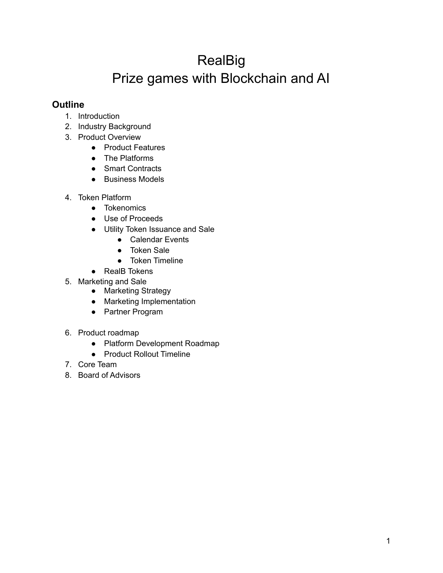# RealBig Prize games with Blockchain and AI

## **Outline**

- 1. Introduction
- 2. Industry Background
- 3. Product Overview
	- Product Features
	- The Platforms
	- Smart Contracts
	- Business Models
- 4. Token Platform
	- Tokenomics
	- Use of Proceeds
	- Utility Token Issuance and Sale
		- Calendar Events
		- Token Sale
		- Token Timeline
	- RealB Tokens
- 5. Marketing and Sale
	- Marketing Strategy
	- Marketing Implementation
	- Partner Program
- 6. Product roadmap
	- Platform Development Roadmap
	- Product Rollout Timeline
- 7. Core Team
- 8. Board of Advisors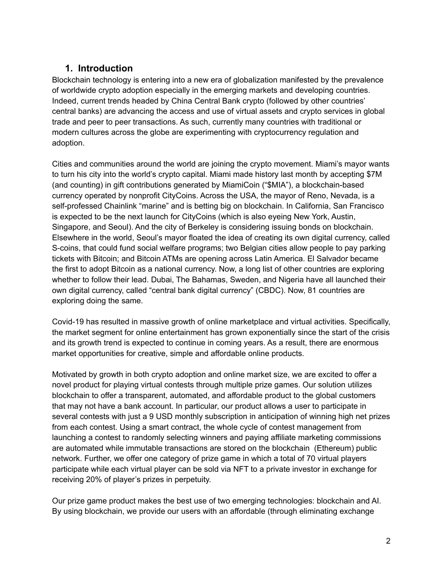# **1. Introduction**

Blockchain technology is entering into a new era of globalization manifested by the prevalence of worldwide crypto adoption especially in the emerging markets and developing countries. Indeed, current trends headed by China Central Bank crypto (followed by other countries' central banks) are advancing the access and use of virtual assets and crypto services in global trade and peer to peer transactions. As such, currently many countries with traditional or modern cultures across the globe are experimenting with cryptocurrency regulation and adoption.

Cities and communities around the world are joining the crypto movement. Miami's mayor wants to turn his city into the world's crypto capital. Miami made history last month by accepting \$7M (and counting) in gift contributions generated by MiamiCoin ("\$MIA"), a blockchain-based currency operated by nonprofit CityCoins. Across the USA, the mayor of Reno, Nevada, is a self-professed Chainlink "marine" and is betting big on blockchain. In California, San Francisco is expected to be the next launch for CityCoins (which is also eyeing New York, Austin, Singapore, and Seoul). And the city of Berkeley is considering issuing bonds on blockchain. Elsewhere in the world, Seoul's mayor floated the idea of creating its own digital currency, called S-coins, that could fund social welfare programs; two Belgian cities allow people to pay parking tickets with Bitcoin; and Bitcoin ATMs are opening across Latin America. El Salvador became the first to adopt Bitcoin as a national currency. Now, a long list of other countries are exploring whether to follow their lead. Dubai, The Bahamas, Sweden, and Nigeria have all launched their own digital currency, called "central bank digital currency" (CBDC). Now, 81 countries are exploring doing the same.

Covid-19 has resulted in massive growth of online marketplace and virtual activities. Specifically, the market segment for online entertainment has grown exponentially since the start of the crisis and its growth trend is expected to continue in coming years. As a result, there are enormous market opportunities for creative, simple and affordable online products.

Motivated by growth in both crypto adoption and online market size, we are excited to offer a novel product for playing virtual contests through multiple prize games. Our solution utilizes blockchain to offer a transparent, automated, and affordable product to the global customers that may not have a bank account. In particular, our product allows a user to participate in several contests with just a 9 USD monthly subscription in anticipation of winning high net prizes from each contest. Using a smart contract, the whole cycle of contest management from launching a contest to randomly selecting winners and paying affiliate marketing commissions are automated while immutable transactions are stored on the blockchain (Ethereum) public network. Further, we offer one category of prize game in which a total of 70 virtual players participate while each virtual player can be sold via NFT to a private investor in exchange for receiving 20% of player's prizes in perpetuity.

Our prize game product makes the best use of two emerging technologies: blockchain and AI. By using blockchain, we provide our users with an affordable (through eliminating exchange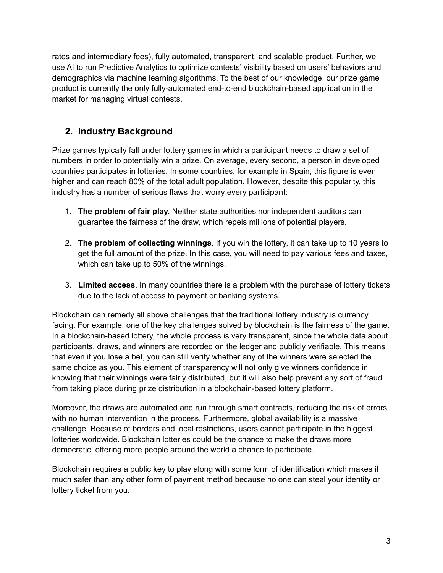rates and intermediary fees), fully automated, transparent, and scalable product. Further, we use AI to run Predictive Analytics to optimize contests' visibility based on users' behaviors and demographics via machine learning algorithms. To the best of our knowledge, our prize game product is currently the only fully-automated end-to-end blockchain-based application in the market for managing virtual contests.

# **2. Industry Background**

Prize games typically fall under lottery games in which a participant needs to draw a set of numbers in order to potentially win a prize. On average, every second, a person in developed countries participates in lotteries. In some countries, for example in Spain, this figure is even higher and can reach 80% of the total adult population. However, despite this popularity, this industry has a number of serious flaws that worry every participant:

- 1. **The problem of fair play.** Neither state authorities nor independent auditors can guarantee the fairness of the draw, which repels millions of potential players.
- 2. **The problem of collecting winnings**. If you win the lottery, it can take up to 10 years to get the full amount of the prize. In this case, you will need to pay various fees and taxes, which can take up to 50% of the winnings.
- 3. **Limited access**. In many countries there is a problem with the purchase of lottery tickets due to the lack of access to payment or banking systems.

Blockchain can remedy all above challenges that the traditional lottery industry is currency facing. For example, one of the key challenges solved by blockchain is the fairness of the game. In a blockchain-based lottery, the whole process is very transparent, since the whole data about participants, draws, and winners are recorded on the ledger and publicly verifiable. This means that even if you lose a bet, you can still verify whether any of the winners were selected the same choice as you. This element of transparency will not only give winners confidence in knowing that their winnings were fairly distributed, but it will also help prevent any sort of fraud from taking place during prize distribution in a blockchain-based lottery platform.

Moreover, the draws are automated and run through smart contracts, reducing the risk of errors with no human intervention in the process. Furthermore, global availability is a massive challenge. Because of borders and local restrictions, users cannot participate in the biggest lotteries worldwide. Blockchain lotteries could be the chance to make the draws more democratic, offering more people around the world a chance to participate.

Blockchain requires a public key to play along with some form of identification which makes it much safer than any other form of payment method because no one can steal your identity or lottery ticket from you.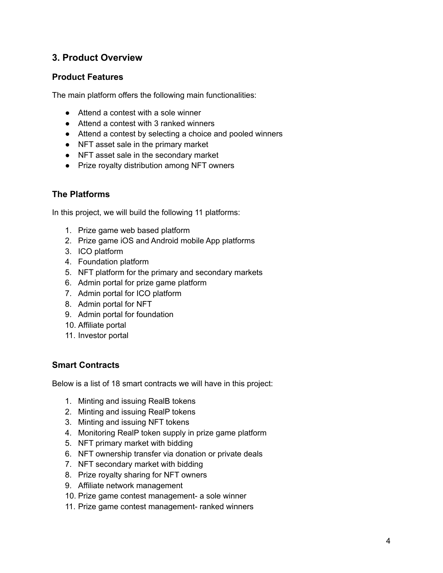## **3. Product Overview**

## **Product Features**

The main platform offers the following main functionalities:

- Attend a contest with a sole winner
- Attend a contest with 3 ranked winners
- Attend a contest by selecting a choice and pooled winners
- NFT asset sale in the primary market
- NFT asset sale in the secondary market
- Prize royalty distribution among NFT owners

## **The Platforms**

In this project, we will build the following 11 platforms:

- 1. Prize game web based platform
- 2. Prize game iOS and Android mobile App platforms
- 3. ICO platform
- 4. Foundation platform
- 5. NFT platform for the primary and secondary markets
- 6. Admin portal for prize game platform
- 7. Admin portal for ICO platform
- 8. Admin portal for NFT
- 9. Admin portal for foundation
- 10. Affiliate portal
- 11. Investor portal

### **Smart Contracts**

Below is a list of 18 smart contracts we will have in this project:

- 1. Minting and issuing RealB tokens
- 2. Minting and issuing RealP tokens
- 3. Minting and issuing NFT tokens
- 4. Monitoring RealP token supply in prize game platform
- 5. NFT primary market with bidding
- 6. NFT ownership transfer via donation or private deals
- 7. NFT secondary market with bidding
- 8. Prize royalty sharing for NFT owners
- 9. Affiliate network management
- 10. Prize game contest management- a sole winner
- 11. Prize game contest management- ranked winners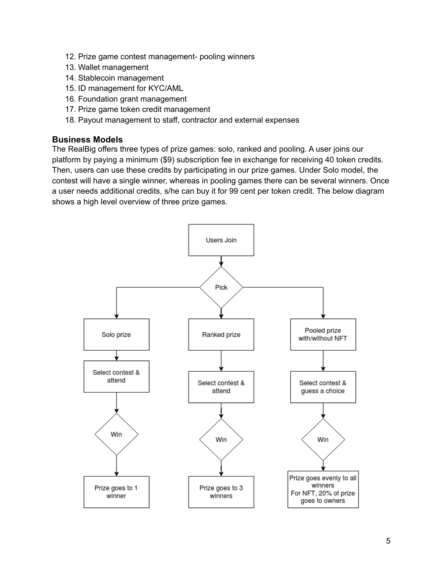- 12. Prize game contest management- pooling winners
- 13. Wallet management
- 14. Stablecoin management
- 15. ID management for KYC/AML
- 16. Foundation grant management
- 17. Prize game token credit management
- 18. Payout management to staff, contractor and external expenses

#### **Business Models**

The RealBig offers three types of prize games: solo, ranked and pooling. A user joins our platform by paying a minimum (\$9) subscription fee in exchange for receiving 40 token credits. Then, users can use these credits by participating in our prize games. Under Solo model, the contest will have a single winner, whereas in pooling games there can be several winners. Once a user needs additional credits, s/he can buy it for 99 cent per token credit. The below diagram shows a high level overview of three prize games.

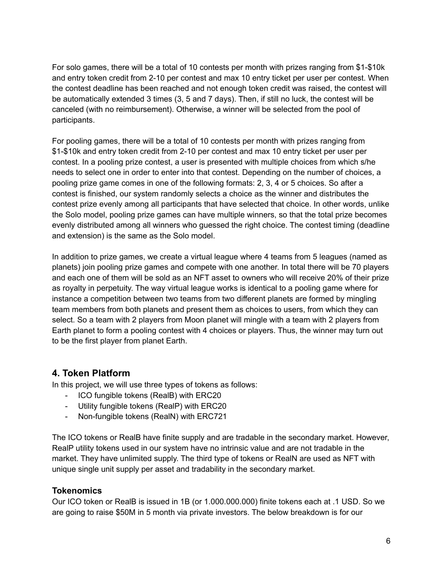For solo games, there will be a total of 10 contests per month with prizes ranging from \$1-\$10k and entry token credit from 2-10 per contest and max 10 entry ticket per user per contest. When the contest deadline has been reached and not enough token credit was raised, the contest will be automatically extended 3 times (3, 5 and 7 days). Then, if still no luck, the contest will be canceled (with no reimbursement). Otherwise, a winner will be selected from the pool of participants.

For pooling games, there will be a total of 10 contests per month with prizes ranging from \$1-\$10k and entry token credit from 2-10 per contest and max 10 entry ticket per user per contest. In a pooling prize contest, a user is presented with multiple choices from which s/he needs to select one in order to enter into that contest. Depending on the number of choices, a pooling prize game comes in one of the following formats: 2, 3, 4 or 5 choices. So after a contest is finished, our system randomly selects a choice as the winner and distributes the contest prize evenly among all participants that have selected that choice. In other words, unlike the Solo model, pooling prize games can have multiple winners, so that the total prize becomes evenly distributed among all winners who guessed the right choice. The contest timing (deadline and extension) is the same as the Solo model.

In addition to prize games, we create a virtual league where 4 teams from 5 leagues (named as planets) join pooling prize games and compete with one another. In total there will be 70 players and each one of them will be sold as an NFT asset to owners who will receive 20% of their prize as royalty in perpetuity. The way virtual league works is identical to a pooling game where for instance a competition between two teams from two different planets are formed by mingling team members from both planets and present them as choices to users, from which they can select. So a team with 2 players from Moon planet will mingle with a team with 2 players from Earth planet to form a pooling contest with 4 choices or players. Thus, the winner may turn out to be the first player from planet Earth.

# **4. Token Platform**

In this project, we will use three types of tokens as follows:

- ICO fungible tokens (RealB) with ERC20
- Utility fungible tokens (RealP) with ERC20
- Non-fungible tokens (RealN) with ERC721

The ICO tokens or RealB have finite supply and are tradable in the secondary market. However, RealP utility tokens used in our system have no intrinsic value and are not tradable in the market. They have unlimited supply. The third type of tokens or RealN are used as NFT with unique single unit supply per asset and tradability in the secondary market.

### **Tokenomics**

Our ICO token or RealB is issued in 1B (or 1.000.000.000) finite tokens each at .1 USD. So we are going to raise \$50M in 5 month via private investors. The below breakdown is for our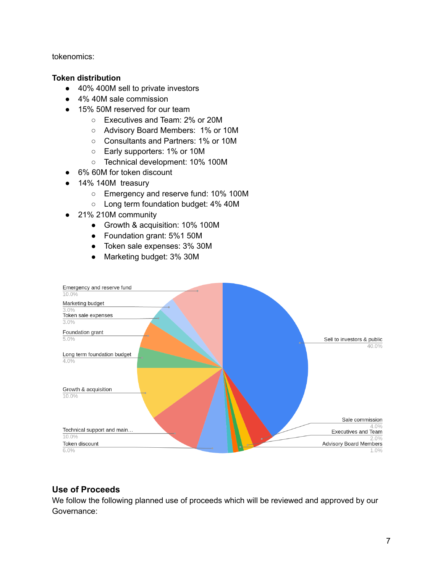tokenomics:

#### **Token distribution**

- 40% 400M sell to private investors
- 4% 40M sale commission
- 15% 50M reserved for our team
	- Executives and Team: 2% or 20M
	- Advisory Board Members: 1% or 10M
	- Consultants and Partners: 1% or 10M
	- Early supporters: 1% or 10M
	- Technical development: 10% 100M
- 6% 60M for token discount
- 14% 140M treasury
	- Emergency and reserve fund: 10% 100M
	- Long term foundation budget: 4% 40M
- 21% 210M community
	- Growth & acquisition: 10% 100M
	- Foundation grant: 5%1 50M
	- Token sale expenses: 3% 30M
	- Marketing budget: 3% 30M



### **Use of Proceeds**

We follow the following planned use of proceeds which will be reviewed and approved by our Governance: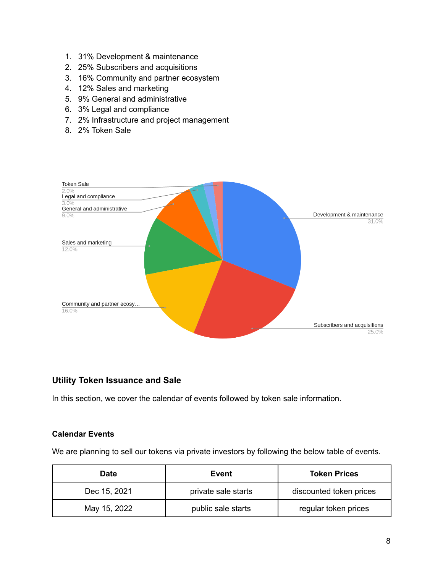- 1. 31% Development & maintenance
- 2. 25% Subscribers and acquisitions
- 3. 16% Community and partner ecosystem
- 4. 12% Sales and marketing
- 5. 9% General and administrative
- 6. 3% Legal and compliance
- 7. 2% Infrastructure and project management
- 8. 2% Token Sale



## **Utility Token Issuance and Sale**

In this section, we cover the calendar of events followed by token sale information.

#### **Calendar Events**

We are planning to sell our tokens via private investors by following the below table of events.

| Date         | Event               | <b>Token Prices</b>     |
|--------------|---------------------|-------------------------|
| Dec 15, 2021 | private sale starts | discounted token prices |
| May 15, 2022 | public sale starts  | regular token prices    |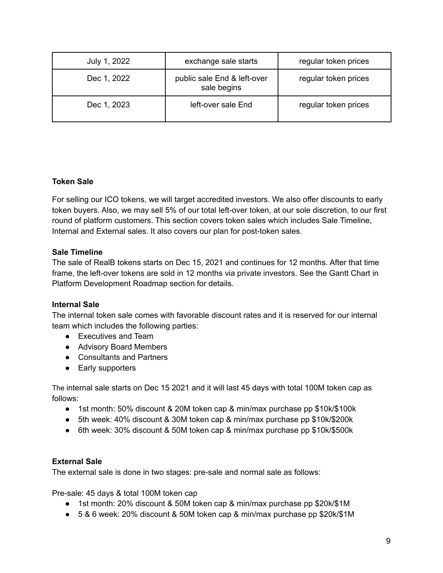| July 1, 2022 | exchange sale starts                       | regular token prices |
|--------------|--------------------------------------------|----------------------|
| Dec 1, 2022  | public sale End & left-over<br>sale begins | regular token prices |
| Dec 1, 2023  | left-over sale End                         | regular token prices |

## **Token Sale**

For selling our ICO tokens, we will target accredited investors. We also offer discounts to early token buyers. Also, we may sell 5% of our total left-over token, at our sole discretion, to our first round of platform customers. This section covers token sales which includes Sale Timeline, Internal and External sales. It also covers our plan for post-token sales.

### **Sale Timeline**

The sale of RealB tokens starts on Dec 15, 2021 and continues for 12 months. After that time frame, the left-over tokens are sold in 12 months via private investors. See the Gantt Chart in Platform Development Roadmap section for details.

### **Internal Sale**

The internal token sale comes with favorable discount rates and it is reserved for our internal team which includes the following parties:

- Executives and Team
- Advisory Board Members
- Consultants and Partners
- Early supporters

The internal sale starts on Dec 15 2021 and it will last 45 days with total 100M token cap as follows:

- 1st month: 50% discount & 20M token cap & min/max purchase pp \$10k/\$100k
- 5th week: 40% discount & 30M token cap & min/max purchase pp \$10k/\$200k
- 6th week: 30% discount & 50M token cap & min/max purchase pp \$10k/\$500k

### **External Sale**

The external sale is done in two stages: pre-sale and normal sale as follows:

Pre-sale: 45 days & total 100M token cap

- 1st month: 20% discount & 50M token cap & min/max purchase pp \$20k/\$1M
- 5 & 6 week: 20% discount & 50M token cap & min/max purchase pp \$20k/\$1M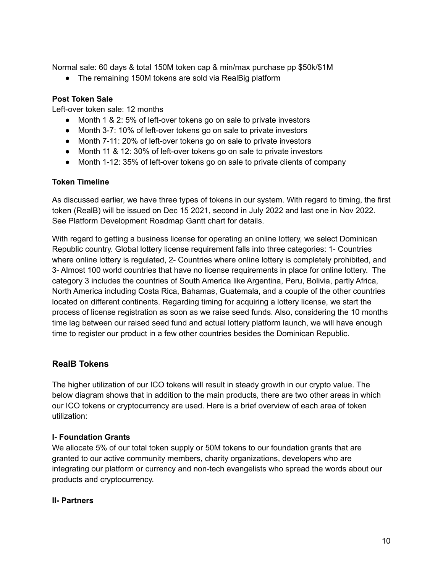Normal sale: 60 days & total 150M token cap & min/max purchase pp \$50k/\$1M

• The remaining 150M tokens are sold via RealBig platform

#### **Post Token Sale**

Left-over token sale: 12 months

- Month 1 & 2: 5% of left-over tokens go on sale to private investors
- Month 3-7: 10% of left-over tokens go on sale to private investors
- Month 7-11: 20% of left-over tokens go on sale to private investors
- Month 11 & 12: 30% of left-over tokens go on sale to private investors
- Month 1-12: 35% of left-over tokens go on sale to private clients of company

#### **Token Timeline**

As discussed earlier, we have three types of tokens in our system. With regard to timing, the first token (RealB) will be issued on Dec 15 2021, second in July 2022 and last one in Nov 2022. See Platform Development Roadmap Gantt chart for details.

With regard to getting a business license for operating an online lottery, we select Dominican Republic country. Global lottery license requirement falls into three categories: 1- Countries where online lottery is regulated, 2- Countries where online lottery is completely prohibited, and 3- Almost 100 world countries that have no license requirements in place for online lottery. The category 3 includes the countries of South America like Argentina, Peru, Bolivia, partly Africa, North America including Costa Rica, Bahamas, Guatemala, and a couple of the other countries located on different continents. Regarding timing for acquiring a lottery license, we start the process of license registration as soon as we raise seed funds. Also, considering the 10 months time lag between our raised seed fund and actual lottery platform launch, we will have enough time to register our product in a few other countries besides the Dominican Republic.

### **RealB Tokens**

The higher utilization of our ICO tokens will result in steady growth in our crypto value. The below diagram shows that in addition to the main products, there are two other areas in which our ICO tokens or cryptocurrency are used. Here is a brief overview of each area of token utilization:

#### **I- Foundation Grants**

We allocate 5% of our total token supply or 50M tokens to our foundation grants that are granted to our active community members, charity organizations, developers who are integrating our platform or currency and non-tech evangelists who spread the words about our products and cryptocurrency.

#### **II- Partners**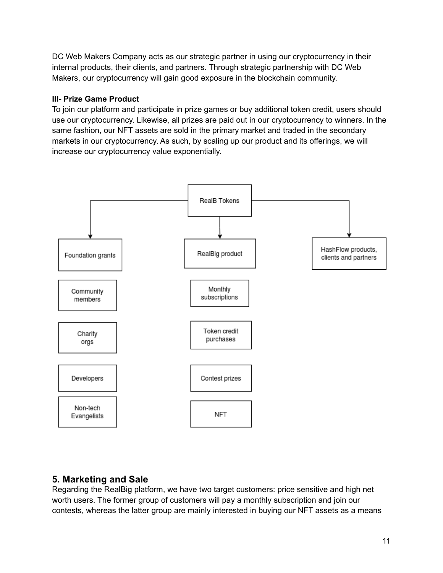DC Web Makers Company acts as our strategic partner in using our cryptocurrency in their internal products, their clients, and partners. Through strategic partnership with DC Web Makers, our cryptocurrency will gain good exposure in the blockchain community.

## **III- Prize Game Product**

To join our platform and participate in prize games or buy additional token credit, users should use our cryptocurrency. Likewise, all prizes are paid out in our cryptocurrency to winners. In the same fashion, our NFT assets are sold in the primary market and traded in the secondary markets in our cryptocurrency. As such, by scaling up our product and its offerings, we will increase our cryptocurrency value exponentially.



# **5. Marketing and Sale**

Regarding the RealBig platform, we have two target customers: price sensitive and high net worth users. The former group of customers will pay a monthly subscription and join our contests, whereas the latter group are mainly interested in buying our NFT assets as a means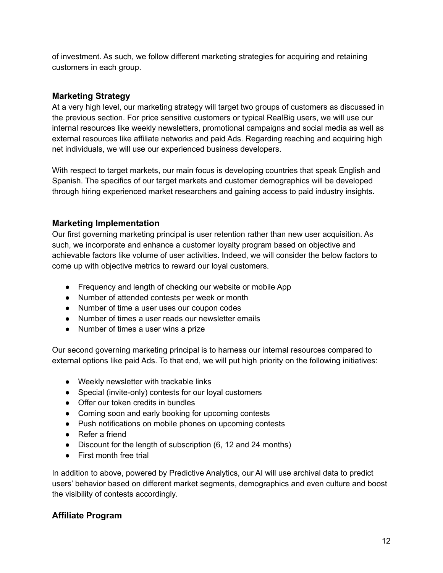of investment. As such, we follow different marketing strategies for acquiring and retaining customers in each group.

## **Marketing Strategy**

At a very high level, our marketing strategy will target two groups of customers as discussed in the previous section. For price sensitive customers or typical RealBig users, we will use our internal resources like weekly newsletters, promotional campaigns and social media as well as external resources like affiliate networks and paid Ads. Regarding reaching and acquiring high net individuals, we will use our experienced business developers.

With respect to target markets, our main focus is developing countries that speak English and Spanish. The specifics of our target markets and customer demographics will be developed through hiring experienced market researchers and gaining access to paid industry insights.

## **Marketing Implementation**

Our first governing marketing principal is user retention rather than new user acquisition. As such, we incorporate and enhance a customer loyalty program based on objective and achievable factors like volume of user activities. Indeed, we will consider the below factors to come up with objective metrics to reward our loyal customers.

- Frequency and length of checking our website or mobile App
- Number of attended contests per week or month
- Number of time a user uses our coupon codes
- Number of times a user reads our newsletter emails
- Number of times a user wins a prize

Our second governing marketing principal is to harness our internal resources compared to external options like paid Ads. To that end, we will put high priority on the following initiatives:

- Weekly newsletter with trackable links
- Special (invite-only) contests for our loyal customers
- Offer our token credits in bundles
- Coming soon and early booking for upcoming contests
- Push notifications on mobile phones on upcoming contests
- Refer a friend
- Discount for the length of subscription (6, 12 and 24 months)
- First month free trial

In addition to above, powered by Predictive Analytics, our AI will use archival data to predict users' behavior based on different market segments, demographics and even culture and boost the visibility of contests accordingly.

### **Affiliate Program**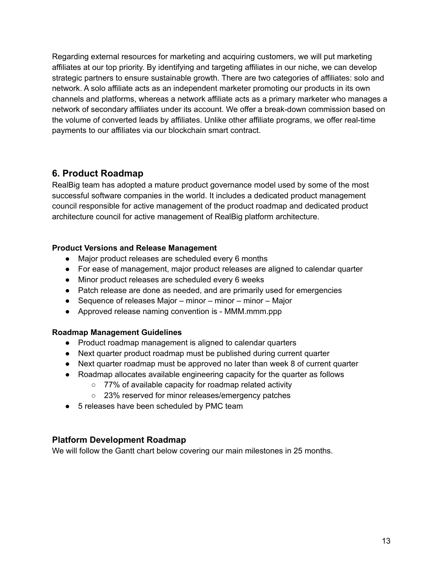Regarding external resources for marketing and acquiring customers, we will put marketing affiliates at our top priority. By identifying and targeting affiliates in our niche, we can develop strategic partners to ensure sustainable growth. There are two categories of affiliates: solo and network. A solo affiliate acts as an independent marketer promoting our products in its own channels and platforms, whereas a network affiliate acts as a primary marketer who manages a network of secondary affiliates under its account. We offer a break-down commission based on the volume of converted leads by affiliates. Unlike other affiliate programs, we offer real-time payments to our affiliates via our blockchain smart contract.

# **6. Product Roadmap**

RealBig team has adopted a mature product governance model used by some of the most successful software companies in the world. It includes a dedicated product management council responsible for active management of the product roadmap and dedicated product architecture council for active management of RealBig platform architecture.

## **Product Versions and Release Management**

- Major product releases are scheduled every 6 months
- For ease of management, major product releases are aligned to calendar quarter
- Minor product releases are scheduled every 6 weeks
- Patch release are done as needed, and are primarily used for emergencies
- Sequence of releases Major minor minor minor Major
- Approved release naming convention is MMM.mmm.ppp

### **Roadmap Management Guidelines**

- Product roadmap management is aligned to calendar quarters
- Next quarter product roadmap must be published during current quarter
- Next quarter roadmap must be approved no later than week 8 of current quarter
- Roadmap allocates available engineering capacity for the quarter as follows
	- 77% of available capacity for roadmap related activity
	- 23% reserved for minor releases/emergency patches
- 5 releases have been scheduled by PMC team

## **Platform Development Roadmap**

We will follow the Gantt chart below covering our main milestones in 25 months.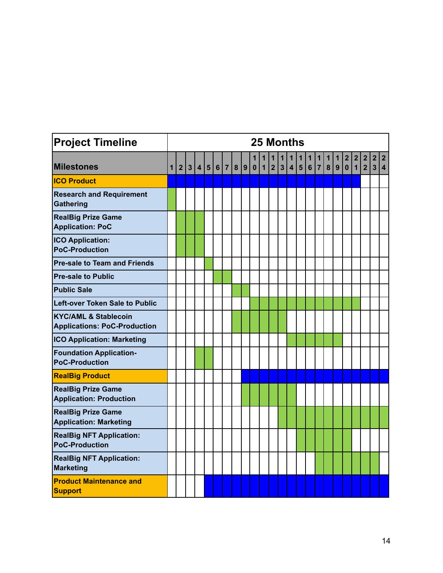| <b>Project Timeline</b>                                                | 25 Months    |                |                |  |     |  |     |  |     |                  |                   |                     |                   |   |                    |                              |                                           |                   |                              |                                        |                 |                                      |                                  |                            |
|------------------------------------------------------------------------|--------------|----------------|----------------|--|-----|--|-----|--|-----|------------------|-------------------|---------------------|-------------------|---|--------------------|------------------------------|-------------------------------------------|-------------------|------------------------------|----------------------------------------|-----------------|--------------------------------------|----------------------------------|----------------------------|
| <b>Milestones</b>                                                      | $\mathbf{1}$ | $\overline{2}$ | 3 <sup>1</sup> |  | 4 5 |  | 6 7 |  | 8 9 | 1<br>$\mathbf 0$ | 1<br>$\mathbf{1}$ | 1<br>$\overline{2}$ | 1<br>$\mathbf{3}$ | 1 | $\mathbf 1$<br>4 5 | $\overline{\mathbf{1}}$<br>6 | $\overline{\mathbf{1}}$<br>7 <sup>1</sup> | $\mathbf{1}$<br>8 | $\overline{\mathbf{1}}$<br>9 | $\overline{\mathbf{2}}$<br>$\mathbf 0$ | 2 <br>$\vert$ 1 | $\overline{\mathbf{2}}$<br>$\vert$ 2 | $\overline{2}$<br>$\overline{3}$ | $ 2\rangle$<br>$ 4\rangle$ |
| <b>ICO Product</b>                                                     |              |                |                |  |     |  |     |  |     |                  |                   |                     |                   |   |                    |                              |                                           |                   |                              |                                        |                 |                                      |                                  |                            |
| <b>Research and Requirement</b><br>Gathering                           |              |                |                |  |     |  |     |  |     |                  |                   |                     |                   |   |                    |                              |                                           |                   |                              |                                        |                 |                                      |                                  |                            |
| <b>RealBig Prize Game</b><br><b>Application: PoC</b>                   |              |                |                |  |     |  |     |  |     |                  |                   |                     |                   |   |                    |                              |                                           |                   |                              |                                        |                 |                                      |                                  |                            |
| <b>ICO Application:</b><br><b>PoC-Production</b>                       |              |                |                |  |     |  |     |  |     |                  |                   |                     |                   |   |                    |                              |                                           |                   |                              |                                        |                 |                                      |                                  |                            |
| <b>Pre-sale to Team and Friends</b>                                    |              |                |                |  |     |  |     |  |     |                  |                   |                     |                   |   |                    |                              |                                           |                   |                              |                                        |                 |                                      |                                  |                            |
| <b>Pre-sale to Public</b>                                              |              |                |                |  |     |  |     |  |     |                  |                   |                     |                   |   |                    |                              |                                           |                   |                              |                                        |                 |                                      |                                  |                            |
| <b>Public Sale</b>                                                     |              |                |                |  |     |  |     |  |     |                  |                   |                     |                   |   |                    |                              |                                           |                   |                              |                                        |                 |                                      |                                  |                            |
| Left-over Token Sale to Public                                         |              |                |                |  |     |  |     |  |     |                  |                   |                     |                   |   |                    |                              |                                           |                   |                              |                                        |                 |                                      |                                  |                            |
| <b>KYC/AML &amp; Stablecoin</b><br><b>Applications: PoC-Production</b> |              |                |                |  |     |  |     |  |     |                  |                   |                     |                   |   |                    |                              |                                           |                   |                              |                                        |                 |                                      |                                  |                            |
| <b>ICO Application: Marketing</b>                                      |              |                |                |  |     |  |     |  |     |                  |                   |                     |                   |   |                    |                              |                                           |                   |                              |                                        |                 |                                      |                                  |                            |
| <b>Foundation Application-</b><br><b>PoC-Production</b>                |              |                |                |  |     |  |     |  |     |                  |                   |                     |                   |   |                    |                              |                                           |                   |                              |                                        |                 |                                      |                                  |                            |
| <b>RealBig Product</b>                                                 |              |                |                |  |     |  |     |  |     |                  |                   |                     |                   |   |                    |                              |                                           |                   |                              |                                        |                 |                                      |                                  |                            |
| <b>RealBig Prize Game</b><br><b>Application: Production</b>            |              |                |                |  |     |  |     |  |     |                  |                   |                     |                   |   |                    |                              |                                           |                   |                              |                                        |                 |                                      |                                  |                            |
| <b>RealBig Prize Game</b><br><b>Application: Marketing</b>             |              |                |                |  |     |  |     |  |     |                  |                   |                     |                   |   |                    |                              |                                           |                   |                              |                                        |                 |                                      |                                  |                            |
| <b>RealBig NFT Application:</b><br><b>PoC-Production</b>               |              |                |                |  |     |  |     |  |     |                  |                   |                     |                   |   |                    |                              |                                           |                   |                              |                                        |                 |                                      |                                  |                            |
| <b>RealBig NFT Application:</b><br>Marketing                           |              |                |                |  |     |  |     |  |     |                  |                   |                     |                   |   |                    |                              |                                           |                   |                              |                                        |                 |                                      |                                  |                            |
| <b>Product Maintenance and</b><br><b>Support</b>                       |              |                |                |  |     |  |     |  |     |                  |                   |                     |                   |   |                    |                              |                                           |                   |                              |                                        |                 |                                      |                                  |                            |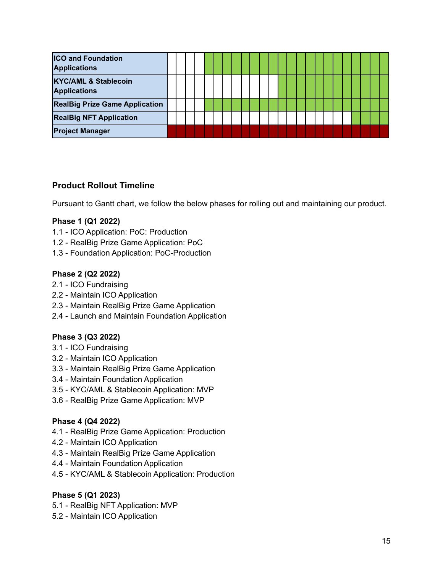| <b>ICO and Foundation</b><br><b>Applications</b>       |  |  |  |  |  |  |  |  |  |  |  |  |
|--------------------------------------------------------|--|--|--|--|--|--|--|--|--|--|--|--|
| <b>KYC/AML &amp; Stablecoin</b><br><b>Applications</b> |  |  |  |  |  |  |  |  |  |  |  |  |
| <b>RealBig Prize Game Application</b>                  |  |  |  |  |  |  |  |  |  |  |  |  |
| <b>RealBig NFT Application</b>                         |  |  |  |  |  |  |  |  |  |  |  |  |
| <b>Project Manager</b>                                 |  |  |  |  |  |  |  |  |  |  |  |  |

## **Product Rollout Timeline**

Pursuant to Gantt chart, we follow the below phases for rolling out and maintaining our product.

#### **Phase 1 (Q1 2022)**

- 1.1 ICO Application: PoC: Production
- 1.2 RealBig Prize Game Application: PoC
- 1.3 Foundation Application: PoC-Production

#### **Phase 2 (Q2 2022)**

- 2.1 ICO Fundraising
- 2.2 Maintain ICO Application
- 2.3 Maintain RealBig Prize Game Application
- 2.4 Launch and Maintain Foundation Application

### **Phase 3 (Q3 2022)**

- 3.1 ICO Fundraising
- 3.2 Maintain ICO Application
- 3.3 Maintain RealBig Prize Game Application
- 3.4 Maintain Foundation Application
- 3.5 KYC/AML & Stablecoin Application: MVP
- 3.6 RealBig Prize Game Application: MVP

#### **Phase 4 (Q4 2022)**

- 4.1 RealBig Prize Game Application: Production
- 4.2 Maintain ICO Application
- 4.3 Maintain RealBig Prize Game Application
- 4.4 Maintain Foundation Application
- 4.5 KYC/AML & Stablecoin Application: Production

### **Phase 5 (Q1 2023)**

- 5.1 RealBig NFT Application: MVP
- 5.2 Maintain ICO Application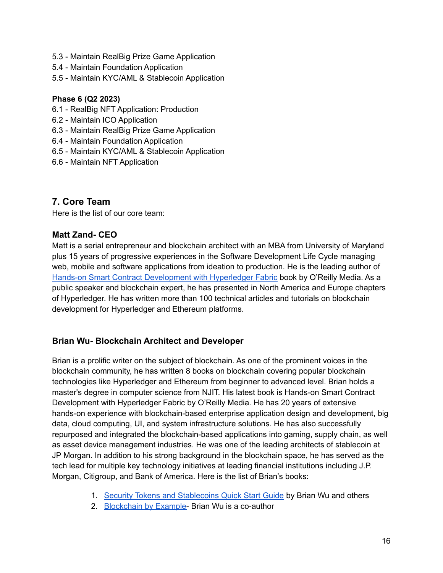- 5.3 Maintain RealBig Prize Game Application
- 5.4 Maintain Foundation Application
- 5.5 Maintain KYC/AML & Stablecoin Application

#### **Phase 6 (Q2 2023)**

- 6.1 RealBig NFT Application: Production
- 6.2 Maintain ICO Application
- 6.3 Maintain RealBig Prize Game Application
- 6.4 Maintain Foundation Application
- 6.5 Maintain KYC/AML & Stablecoin Application
- 6.6 Maintain NFT Application

## **7. Core Team**

Here is the list of our core team:

### **Matt Zand- CEO**

Matt is a serial entrepreneur and blockchain architect with an MBA from University of Maryland plus 15 years of progressive experiences in the Software Development Life Cycle managing web, mobile and software applications from ideation to production. He is the leading author of Hands-on Smart Contract [Development](https://www.amazon.com/gp/product/1492086126/) with Hyperledger Fabric book by O'Reilly Media. As a public speaker and blockchain expert, he has presented in North America and Europe chapters of Hyperledger. He has written more than 100 technical articles and tutorials on blockchain development for Hyperledger and Ethereum platforms.

### **Brian Wu- Blockchain Architect and Developer**

Brian is a prolific writer on the subject of blockchain. As one of the prominent voices in the blockchain community, he has written 8 books on blockchain covering popular blockchain technologies like Hyperledger and Ethereum from beginner to advanced level. Brian holds a master's degree in computer science from NJIT. His latest book is Hands-on Smart Contract Development with Hyperledger Fabric by O'Reilly Media. He has 20 years of extensive hands-on experience with blockchain-based enterprise application design and development, big data, cloud computing, UI, and system infrastructure solutions. He has also successfully repurposed and integrated the blockchain-based applications into gaming, supply chain, as well as asset device management industries. He was one of the leading architects of stablecoin at JP Morgan. In addition to his strong background in the blockchain space, he has served as the tech lead for multiple key technology initiatives at leading financial institutions including J.P. Morgan, Citigroup, and Bank of America. Here is the list of Brian's books:

- 1. Security Tokens and [Stablecoins](https://www.amazon.com/gp/product/B07RF4SJ13/ref=dbs_a_def_rwt_bibl_vppi_i5) Quick Start Guide by Brian Wu and others
- 2. [Blockchain](https://www.amazon.com/gp/product/1788475682/ref=dbs_a_def_rwt_bibl_vppi_i4) by Example- Brian Wu is a co-author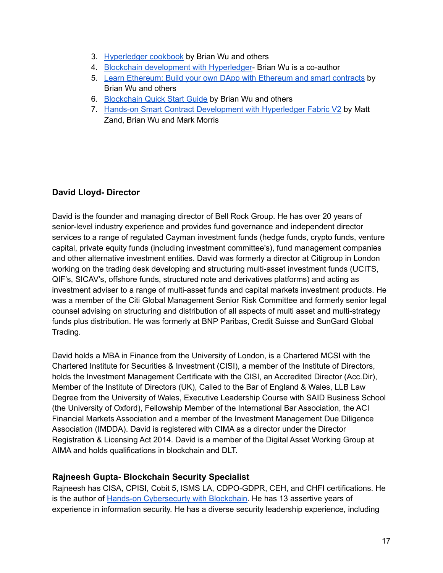- 3. [Hyperledger](https://www.amazon.com/gp/product/B07Q4DD8TN/ref=dbs_a_def_rwt_bibl_vppi_i3) cookbook by Brian Wu and others
- 4. Blockchain [development](https://www.amazon.com/gp/product/1838649980/ref=dbs_a_def_rwt_bibl_vppi_i2) with Hyperledger- Brian Wu is a co-author
- 5. Learn [Ethereum:](https://www.amazon.com/gp/product/1789954118/ref=dbs_a_def_rwt_bibl_vppi_i0) Build your own DApp with Ethereum and smart contracts by Brian Wu and others
- 6. [Blockchain](https://www.amazon.com/gp/product/1789807972/ref=dbs_a_def_rwt_bibl_vppi_i6) Quick Start Guide by Brian Wu and others
- 7. Hands-on Smart Contract [Development](https://www.oreilly.com/library/view/hands-on-smart-contract/9781492086116/) with Hyperledger Fabric V2 by Matt Zand, Brian Wu and Mark Morris

## **David Lloyd- Director**

David is the founder and managing director of Bell Rock Group. He has over 20 years of senior-level industry experience and provides fund governance and independent director services to a range of regulated Cayman investment funds (hedge funds, crypto funds, venture capital, private equity funds (including investment committee's), fund management companies and other alternative investment entities. David was formerly a director at Citigroup in London working on the trading desk developing and structuring multi-asset investment funds (UCITS, QIF's, SICAV's, offshore funds, structured note and derivatives platforms) and acting as investment adviser to a range of multi-asset funds and capital markets investment products. He was a member of the Citi Global Management Senior Risk Committee and formerly senior legal counsel advising on structuring and distribution of all aspects of multi asset and multi-strategy funds plus distribution. He was formerly at BNP Paribas, Credit Suisse and SunGard Global Trading.

David holds a MBA in Finance from the University of London, is a Chartered MCSI with the Chartered Institute for Securities & Investment (CISI), a member of the Institute of Directors, holds the Investment Management Certificate with the CISI, an Accredited Director (Acc.Dir), Member of the Institute of Directors (UK), Called to the Bar of England & Wales, LLB Law Degree from the University of Wales, Executive Leadership Course with SAID Business School (the University of Oxford), Fellowship Member of the International Bar Association, the ACI Financial Markets Association and a member of the Investment Management Due Diligence Association (IMDDA). David is registered with CIMA as a director under the Director Registration & Licensing Act 2014. David is a member of the Digital Asset Working Group at AIMA and holds qualifications in blockchain and DLT.

## **Rajneesh Gupta- Blockchain Security Specialist**

Rajneesh has CISA, CPISI, Cobit 5, ISMS LA, CDPO-GDPR, CEH, and CHFI certifications. He is the author of Hands-on [Cybersecurty](https://www.amazon.com/Hands-Cybersecurity-Blockchain-Implement-protection/dp/1788990188/) with Blockchain. He has 13 assertive years of experience in information security. He has a diverse security leadership experience, including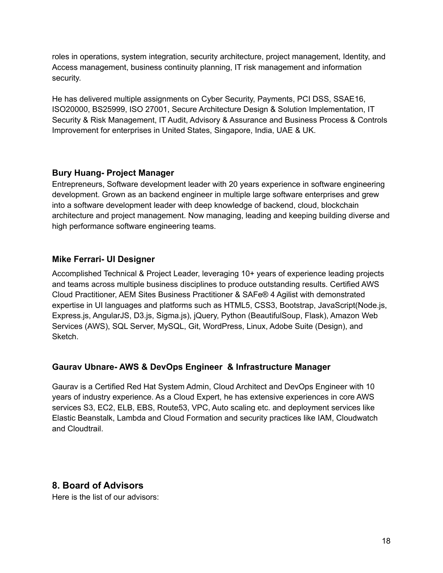roles in operations, system integration, security architecture, project management, Identity, and Access management, business continuity planning, IT risk management and information security.

He has delivered multiple assignments on Cyber Security, Payments, PCI DSS, SSAE16, ISO20000, BS25999, ISO 27001, Secure Architecture Design & Solution Implementation, IT Security & Risk Management, IT Audit, Advisory & Assurance and Business Process & Controls Improvement for enterprises in United States, Singapore, India, UAE & UK.

## **Bury Huang- Project Manager**

Entrepreneurs, Software development leader with 20 years experience in software engineering development. Grown as an backend engineer in multiple large software enterprises and grew into a software development leader with deep knowledge of backend, cloud, blockchain architecture and project management. Now managing, leading and keeping building diverse and high performance software engineering teams.

# **Mike Ferrari- UI Designer**

Accomplished Technical & Project Leader, leveraging 10+ years of experience leading projects and teams across multiple business disciplines to produce outstanding results. Certified AWS Cloud Practitioner, AEM Sites Business Practitioner & SAFe® 4 Agilist with demonstrated expertise in UI languages and platforms such as HTML5, CSS3, Bootstrap, JavaScript(Node.js, Express.js, AngularJS, D3.js, Sigma.js), jQuery, Python (BeautifulSoup, Flask), Amazon Web Services (AWS), SQL Server, MySQL, Git, WordPress, Linux, Adobe Suite (Design), and Sketch.

# **Gaurav Ubnare- AWS & DevOps Engineer & Infrastructure Manager**

Gaurav is a Certified Red Hat System Admin, Cloud Architect and DevOps Engineer with 10 years of industry experience. As a Cloud Expert, he has extensive experiences in core AWS services S3, EC2, ELB, EBS, Route53, VPC, Auto scaling etc. and deployment services like Elastic Beanstalk, Lambda and Cloud Formation and security practices like IAM, Cloudwatch and Cloudtrail.

# **8. Board of Advisors**

Here is the list of our advisors: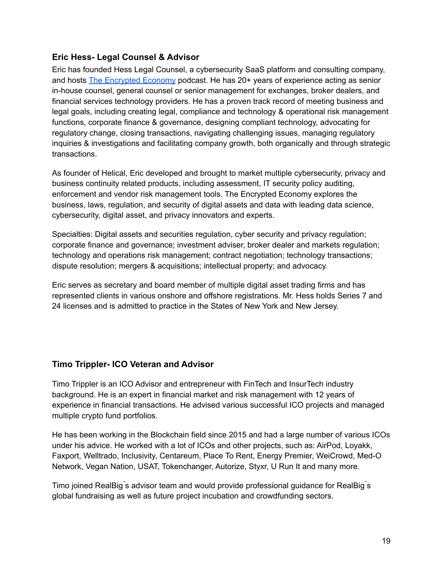## **Eric Hess- Legal Counsel & Advisor**

Eric has founded Hess Legal Counsel, a cybersecurity SaaS platform and consulting company, and hosts The [Encrypted](https://theencryptedeconomy.com/) Economy podcast. He has 20+ years of experience acting as senior in-house counsel, general counsel or senior management for exchanges, broker dealers, and financial services technology providers. He has a proven track record of meeting business and legal goals, including creating legal, compliance and technology & operational risk management functions, corporate finance & governance, designing compliant technology, advocating for regulatory change, closing transactions, navigating challenging issues, managing regulatory inquiries & investigations and facilitating company growth, both organically and through strategic transactions.

As founder of Helical, Eric developed and brought to market multiple cybersecurity, privacy and business continuity related products, including assessment, IT security policy auditing, enforcement and vendor risk management tools. The Encrypted Economy explores the business, laws, regulation, and security of digital assets and data with leading data science, cybersecurity, digital asset, and privacy innovators and experts.

Specialties: Digital assets and securities regulation, cyber security and privacy regulation; corporate finance and governance; investment adviser, broker dealer and markets regulation; technology and operations risk management; contract negotiation; technology transactions; dispute resolution; mergers & acquisitions; intellectual property; and advocacy.

Eric serves as secretary and board member of multiple digital asset trading firms and has represented clients in various onshore and offshore registrations. Mr. Hess holds Series 7 and 24 licenses and is admitted to practice in the States of New York and New Jersey.

## **Timo Trippler- ICO Veteran and Advisor**

Timo Trippler is an ICO Advisor and entrepreneur with FinTech and InsurTech industry background. He is an expert in financial market and risk management with 12 years of experience in financial transactions. He advised various successful ICO projects and managed multiple crypto fund portfolios.

He has been working in the Blockchain field since 2015 and had a large number of various ICOs under his advice. He worked with a lot of ICOs and other projects, such as: AirPod, Loyakk, Faxport, Welltrado, Inclusivity, Centareum, Place To Rent, Energy Premier, WeiCrowd, Med-O Network, Vegan Nation, USAT, Tokenchanger, Autorize, Styxr, U Run It and many more.

Timo joined RealBig ́s advisor team and would provide professional guidance for RealBig ́s global fundraising as well as future project incubation and crowdfunding sectors.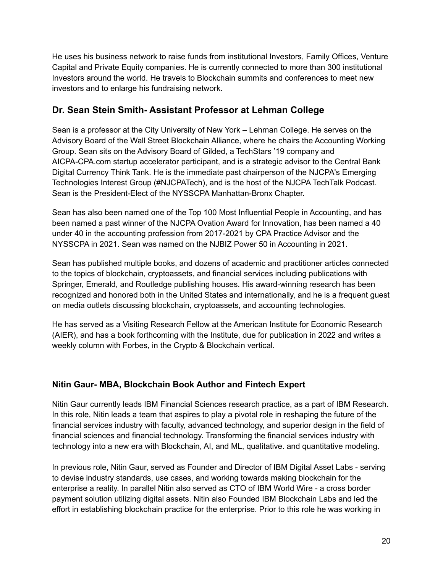He uses his business network to raise funds from institutional Investors, Family Offices, Venture Capital and Private Equity companies. He is currently connected to more than 300 institutional Investors around the world. He travels to Blockchain summits and conferences to meet new investors and to enlarge his fundraising network.

# **Dr. Sean Stein Smith- Assistant Professor at Lehman College**

Sean is a professor at the City University of New York – Lehman College. He serves on the Advisory Board of the Wall Street Blockchain Alliance, where he chairs the Accounting Working Group. Sean sits on the Advisory Board of Gilded, a TechStars '19 company and AICPA-CPA.com startup accelerator participant, and is a strategic advisor to the Central Bank Digital Currency Think Tank. He is the immediate past chairperson of the NJCPA's Emerging Technologies Interest Group (#NJCPATech), and is the host of the NJCPA TechTalk Podcast. Sean is the President-Elect of the NYSSCPA Manhattan-Bronx Chapter.

Sean has also been named one of the Top 100 Most Influential People in Accounting, and has been named a past winner of the NJCPA Ovation Award for Innovation, has been named a 40 under 40 in the accounting profession from 2017-2021 by CPA Practice Advisor and the NYSSCPA in 2021. Sean was named on the NJBIZ Power 50 in Accounting in 2021.

Sean has published multiple books, and dozens of academic and practitioner articles connected to the topics of blockchain, cryptoassets, and financial services including publications with Springer, Emerald, and Routledge publishing houses. His award-winning research has been recognized and honored both in the United States and internationally, and he is a frequent guest on media outlets discussing blockchain, cryptoassets, and accounting technologies.

He has served as a Visiting Research Fellow at the American Institute for Economic Research (AIER), and has a book forthcoming with the Institute, due for publication in 2022 and writes a weekly column with Forbes, in the Crypto & Blockchain vertical.

# **Nitin Gaur- MBA, Blockchain Book Author and Fintech Expert**

Nitin Gaur currently leads IBM Financial Sciences research practice, as a part of IBM Research. In this role, Nitin leads a team that aspires to play a pivotal role in reshaping the future of the financial services industry with faculty, advanced technology, and superior design in the field of financial sciences and financial technology. Transforming the financial services industry with technology into a new era with Blockchain, AI, and ML, qualitative. and quantitative modeling.

In previous role, Nitin Gaur, served as Founder and Director of IBM Digital Asset Labs - serving to devise industry standards, use cases, and working towards making blockchain for the enterprise a reality. In parallel Nitin also served as CTO of IBM World Wire - a cross border payment solution utilizing digital assets. Nitin also Founded IBM Blockchain Labs and led the effort in establishing blockchain practice for the enterprise. Prior to this role he was working in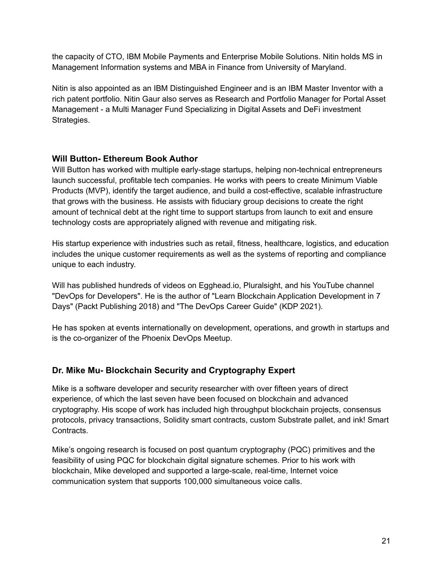the capacity of CTO, IBM Mobile Payments and Enterprise Mobile Solutions. Nitin holds MS in Management Information systems and MBA in Finance from University of Maryland.

Nitin is also appointed as an IBM Distinguished Engineer and is an IBM Master Inventor with a rich patent portfolio. Nitin Gaur also serves as Research and Portfolio Manager for Portal Asset Management - a Multi Manager Fund Specializing in Digital Assets and DeFi investment Strategies.

## **Will Button- Ethereum Book Author**

Will Button has worked with multiple early-stage startups, helping non-technical entrepreneurs launch successful, profitable tech companies. He works with peers to create Minimum Viable Products (MVP), identify the target audience, and build a cost-effective, scalable infrastructure that grows with the business. He assists with fiduciary group decisions to create the right amount of technical debt at the right time to support startups from launch to exit and ensure technology costs are appropriately aligned with revenue and mitigating risk.

His startup experience with industries such as retail, fitness, healthcare, logistics, and education includes the unique customer requirements as well as the systems of reporting and compliance unique to each industry.

Will has published hundreds of videos on Egghead.io, Pluralsight, and his YouTube channel "DevOps for Developers". He is the author of "Learn Blockchain Application Development in 7 Days" (Packt Publishing 2018) and "The DevOps Career Guide" (KDP 2021).

He has spoken at events internationally on development, operations, and growth in startups and is the co-organizer of the Phoenix DevOps Meetup.

## **Dr. Mike Mu- Blockchain Security and Cryptography Expert**

Mike is a software developer and security researcher with over fifteen years of direct experience, of which the last seven have been focused on blockchain and advanced cryptography. His scope of work has included high throughput blockchain projects, consensus protocols, privacy transactions, Solidity smart contracts, custom Substrate pallet, and ink! Smart Contracts.

Mike's ongoing research is focused on post quantum cryptography (PQC) primitives and the feasibility of using PQC for blockchain digital signature schemes. Prior to his work with blockchain, Mike developed and supported a large-scale, real-time, Internet voice communication system that supports 100,000 simultaneous voice calls.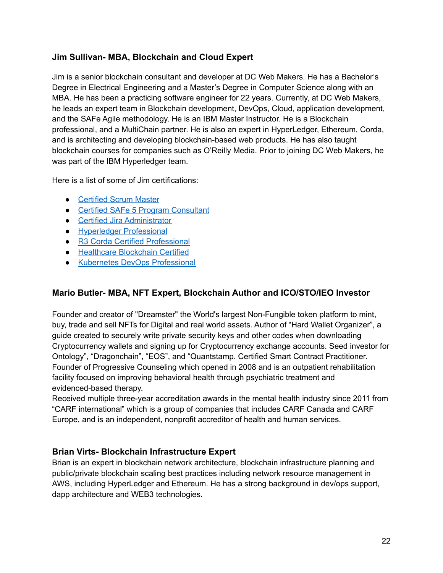## **Jim Sullivan- MBA, Blockchain and Cloud Expert**

Jim is a senior blockchain consultant and developer at DC Web Makers. He has a Bachelor's Degree in Electrical Engineering and a Master's Degree in Computer Science along with an MBA. He has been a practicing software engineer for 22 years. Currently, at DC Web Makers, he leads an expert team in Blockchain development, DevOps, Cloud, application development, and the SAFe Agile methodology. He is an IBM Master Instructor. He is a Blockchain professional, and a MultiChain partner. He is also an expert in HyperLedger, Ethereum, Corda, and is architecting and developing blockchain-based web products. He has also taught blockchain courses for companies such as O'Reilly Media. Prior to joining DC Web Makers, he was part of the IBM Hyperledger team.

Here is a list of some of Jim certifications:

- [Certified](http://www.scrumalliance.org/why-scrum) Scrum Master
- Certified SAFe 5 Program [Consultant](https://www.youracclaim.com/badges/d3d32ce5-9d61-49f3-bda3-d9740579f6d8)
- Certified Jira [Administrator](https://www.certmetrics.com/atlassian/public/badge.aspx?i=10&t=c&d=2020-08-28&ci=AT00145313)
- Hyperledger [Professional](https://www.youracclaim.com/badges/2ebfdf16-932e-4629-8114-095e5d1c827c/email)
- R3 Corda Certified [Professional](https://www.youracclaim.com/badges/d3fef394-0aac-48b0-b066-7d2c77d261b0)
- [Healthcare](https://www.gbaglobal.org/certifications/listing/jim-sullivan) Blockchain Certified
- Kubernetes DevOps [Professional](https://courses.edx.org/certificates/f682d547ffeb40fc864c7eea96750b41)

## **Mario Butler- MBA, NFT Expert, Blockchain Author and ICO/STO/IEO Investor**

Founder and creator of "Dreamster" the World's largest Non-Fungible token platform to mint, buy, trade and sell NFTs for Digital and real world assets. Author of "Hard Wallet Organizer", a guide created to securely write private security keys and other codes when downloading Cryptocurrency wallets and signing up for Cryptocurrency exchange accounts. Seed investor for Ontology", "Dragonchain", "EOS", and "Quantstamp. Certified Smart Contract Practitioner. Founder of Progressive Counseling which opened in 2008 and is an outpatient rehabilitation facility focused on improving behavioral health through psychiatric treatment and evidenced-based therapy.

Received multiple three-year accreditation awards in the mental health industry since 2011 from "CARF international" which is a group of companies that includes CARF Canada and CARF Europe, and is an independent, nonprofit accreditor of health and human services.

## **Brian Virts- Blockchain Infrastructure Expert**

Brian is an expert in blockchain network architecture, blockchain infrastructure planning and public/private blockchain scaling best practices including network resource management in AWS, including HyperLedger and Ethereum. He has a strong background in dev/ops support, dapp architecture and WEB3 technologies.